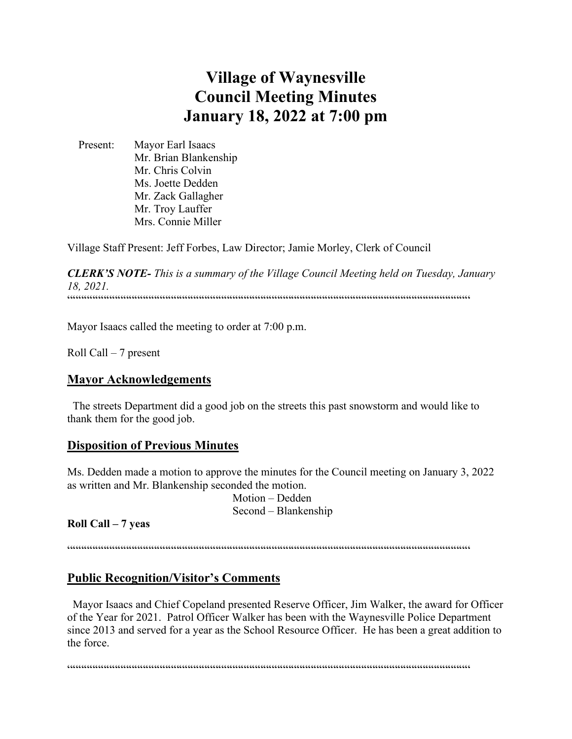# **Village of Waynesville Council Meeting Minutes January 18, 2022 at 7:00 pm**

 Present: Mayor Earl Isaacs Mr. Brian Blankenship Mr. Chris Colvin Ms. Joette Dedden Mr. Zack Gallagher Mr. Troy Lauffer Mrs. Connie Miller

Village Staff Present: Jeff Forbes, Law Director; Jamie Morley, Clerk of Council

*CLERK'S NOTE- This is a summary of the Village Council Meeting held on Tuesday, January 18, 2021.*  """"""""""""""""""""""""""""""""""""""""""""""""""""""""""""""""""""""""

Mayor Isaacs called the meeting to order at 7:00 p.m.

Roll Call – 7 present

#### **Mayor Acknowledgements**

 The streets Department did a good job on the streets this past snowstorm and would like to thank them for the good job.

#### **Disposition of Previous Minutes**

Ms. Dedden made a motion to approve the minutes for the Council meeting on January 3, 2022 as written and Mr. Blankenship seconded the motion.

> Motion – Dedden Second – Blankenship

**Roll Call – 7 yeas**

""""""""""""""""""""""""""""""""""""""""""""""""""""""""""""""""""""""""

#### **Public Recognition/Visitor's Comments**

 Mayor Isaacs and Chief Copeland presented Reserve Officer, Jim Walker, the award for Officer of the Year for 2021. Patrol Officer Walker has been with the Waynesville Police Department since 2013 and served for a year as the School Resource Officer. He has been a great addition to the force.

 $\label{prop:main} \hspace{1.5cm} \hspace{1.5cm} \textcolor{blue}{\bullet} \hspace{1.5cm} \textcolor{blue}{\bullet} \hspace{1.5cm} \textcolor{blue}{\bullet} \hspace{1.5cm} \textcolor{blue}{\bullet} \hspace{1.5cm} \textcolor{blue}{\bullet} \hspace{1.5cm} \textcolor{blue}{\bullet} \hspace{1.5cm} \textcolor{blue}{\bullet} \hspace{1.5cm} \textcolor{blue}{\bullet} \hspace{1.5cm} \textcolor{blue}{\bullet} \hspace{1.5cm} \textcolor{blue}{\bullet} \hspace{1.5cm} \textcolor{blue}{\bullet} \hspace{1.$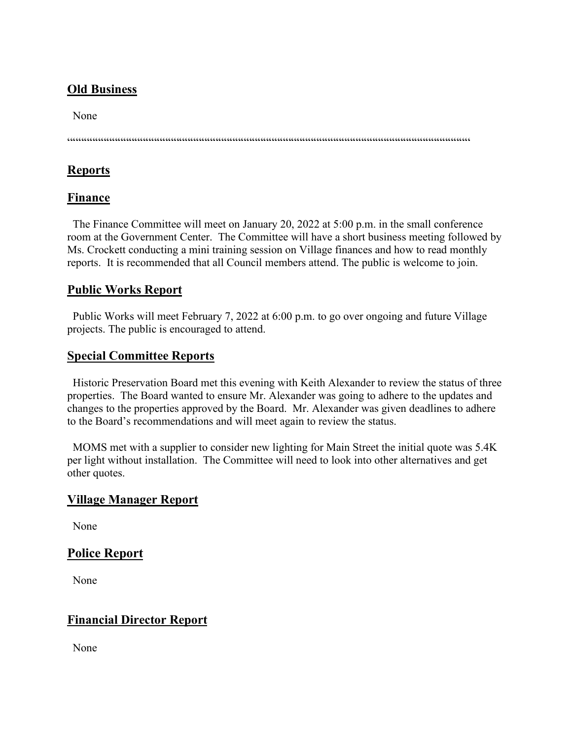### **Old Business**

None

""""""""""""""""""""""""""""""""""""""""""""""""""""""""""""""""""""""""

### **Reports**

### **Finance**

 The Finance Committee will meet on January 20, 2022 at 5:00 p.m. in the small conference room at the Government Center. The Committee will have a short business meeting followed by Ms. Crockett conducting a mini training session on Village finances and how to read monthly reports. It is recommended that all Council members attend. The public is welcome to join.

### **Public Works Report**

 Public Works will meet February 7, 2022 at 6:00 p.m. to go over ongoing and future Village projects. The public is encouraged to attend.

### **Special Committee Reports**

 Historic Preservation Board met this evening with Keith Alexander to review the status of three properties. The Board wanted to ensure Mr. Alexander was going to adhere to the updates and changes to the properties approved by the Board. Mr. Alexander was given deadlines to adhere to the Board's recommendations and will meet again to review the status.

 MOMS met with a supplier to consider new lighting for Main Street the initial quote was 5.4K per light without installation. The Committee will need to look into other alternatives and get other quotes.

### **Village Manager Report**

None

## **Police Report**

None

### **Financial Director Report**

None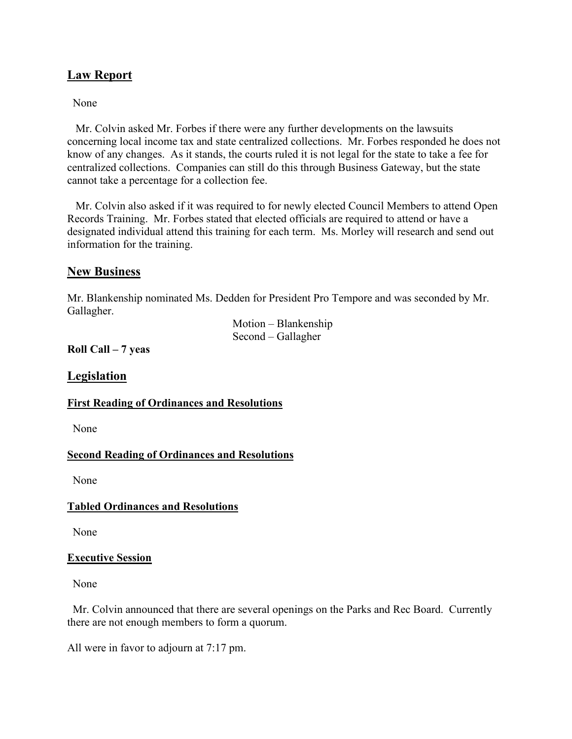### **Law Report**

None

 Mr. Colvin asked Mr. Forbes if there were any further developments on the lawsuits concerning local income tax and state centralized collections. Mr. Forbes responded he does not know of any changes. As it stands, the courts ruled it is not legal for the state to take a fee for centralized collections. Companies can still do this through Business Gateway, but the state cannot take a percentage for a collection fee.

 Mr. Colvin also asked if it was required to for newly elected Council Members to attend Open Records Training. Mr. Forbes stated that elected officials are required to attend or have a designated individual attend this training for each term. Ms. Morley will research and send out information for the training.

#### **New Business**

Mr. Blankenship nominated Ms. Dedden for President Pro Tempore and was seconded by Mr. Gallagher.

> Motion – Blankenship Second – Gallagher

**Roll Call – 7 yeas**

**Legislation**

#### **First Reading of Ordinances and Resolutions**

None

#### **Second Reading of Ordinances and Resolutions**

None

#### **Tabled Ordinances and Resolutions**

None

#### **Executive Session**

None

 Mr. Colvin announced that there are several openings on the Parks and Rec Board. Currently there are not enough members to form a quorum.

All were in favor to adjourn at 7:17 pm.